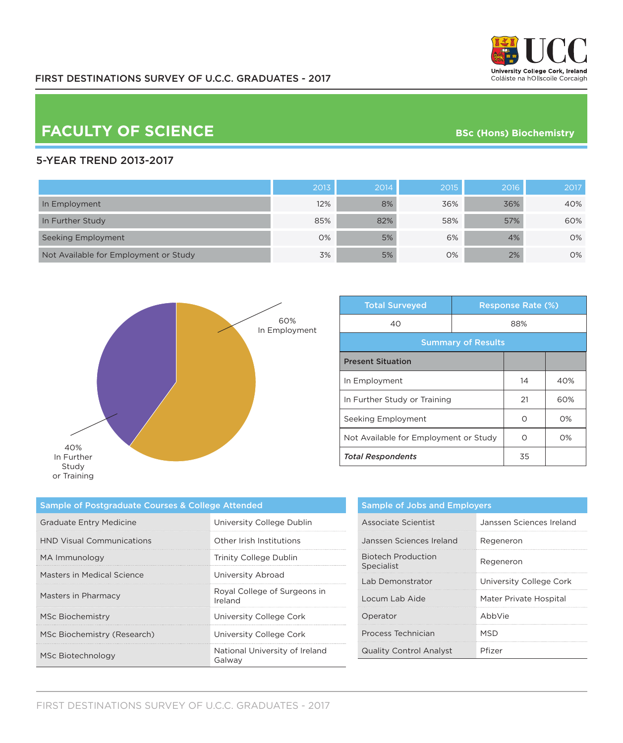

## **FACULTY OF SCIENCE BSC** (Hons) Biochemistry

### 5-YEAR TREND 2013-2017

|                                       | 2013 | 2014 | 2015 | 2016 | 2017 |
|---------------------------------------|------|------|------|------|------|
| In Employment                         | 12%  | 8%   | 36%  | 36%  | 40%  |
| In Further Study                      | 85%  | 82%  | 58%  | 57%  | 60%  |
| Seeking Employment                    | 0%   | 5%   | 6%   | 4%   | 0%   |
| Not Available for Employment or Study | 3%   | 5%   | 0%   | 2%   | 0%   |



| <b>Total Surveyed</b>                 |     | <b>Response Rate (%)</b> |       |  |
|---------------------------------------|-----|--------------------------|-------|--|
| 40                                    | 88% |                          |       |  |
| <b>Summary of Results</b>             |     |                          |       |  |
| <b>Present Situation</b>              |     |                          |       |  |
| In Employment                         |     | 14                       | 40%   |  |
| In Further Study or Training          |     | 21                       | 60%   |  |
| Seeking Employment                    |     | Ω                        | $O\%$ |  |
| Not Available for Employment or Study |     | ∩                        | $O\%$ |  |
| <b>Total Respondents</b>              |     | 35                       |       |  |

| Sample of Postgraduate Courses & College Attended |                                          |  |
|---------------------------------------------------|------------------------------------------|--|
| <b>Graduate Entry Medicine</b>                    | University College Dublin                |  |
| <b>HND Visual Communications</b>                  | Other Irish Institutions                 |  |
| MA Immunology                                     | Trinity College Dublin                   |  |
| Masters in Medical Science                        | University Abroad                        |  |
| Masters in Pharmacy                               | Royal College of Surgeons in<br>Ireland  |  |
| MSc Biochemistry                                  | University College Cork                  |  |
| MSc Biochemistry (Research)                       | University College Cork                  |  |
| MSc Biotechnology                                 | National University of Ireland<br>Galwav |  |

|                                         | <b>Sample of Jobs and Employers</b> |  |  |
|-----------------------------------------|-------------------------------------|--|--|
| Associate Scientist                     | Janssen Sciences Ireland            |  |  |
| Janssen Sciences Ireland                | Regeneron                           |  |  |
| <b>Biotech Production</b><br>Specialist | Regeneron                           |  |  |
| Lab Demonstrator                        | University College Cork             |  |  |
| Locum Lab Aide                          | Mater Private Hospital              |  |  |
| Operator                                | AbbVie                              |  |  |
| Process Technician                      | MSD                                 |  |  |
| <b>Quality Control Analyst</b>          | Pfizer                              |  |  |